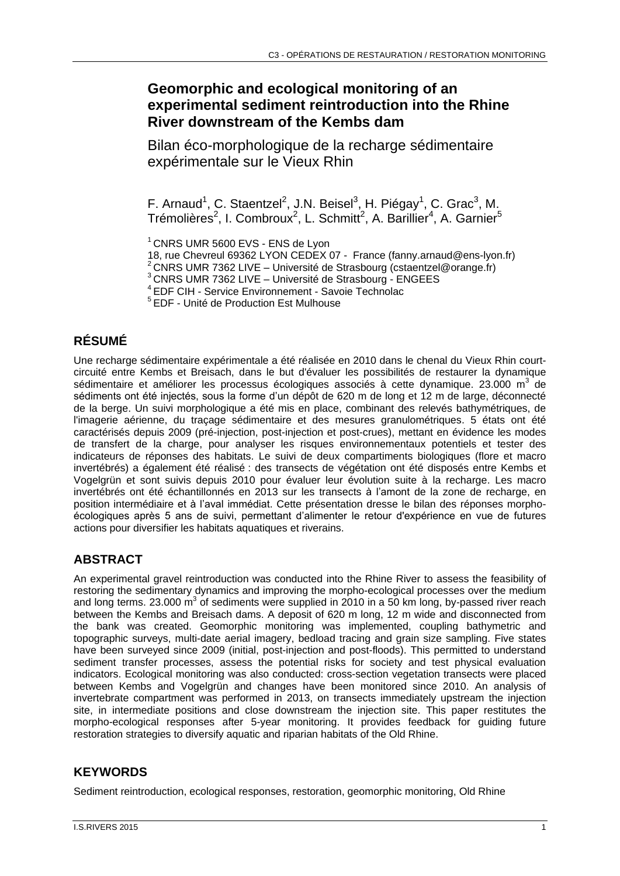# **Geomorphic and ecological monitoring of an experimental sediment reintroduction into the Rhine River downstream of the Kembs dam**

Bilan éco-morphologique de la recharge sédimentaire expérimentale sur le Vieux Rhin

F. Arnaud<sup>1</sup>, C. Staentzel<sup>2</sup>, J.N. Beisel<sup>3</sup>, H. Piégay<sup>1</sup>, C. Grac<sup>3</sup>, M. Trémolières<sup>2</sup>, I. Combroux<sup>2</sup>, L. Schmitt<sup>2</sup>, A. Barillier<sup>4</sup>, A. Garnier<sup>5</sup>

 $1$  CNRS UMR 5600 EVS - ENS de Lyon

18, rue Chevreul 69362 LYON CEDEX 07 - France (fanny.arnaud@ens-lyon.fr)

<sup>2</sup> CNRS UMR 7362 LIVE – Université de Strasbourg (cstaentzel@orange.fr)

<sup>3</sup> CNRS UMR 7362 LIVE – Université de Strasbourg - ENGEES

<sup>4</sup> EDF CIH - Service Environnement - Savoie Technolac

<sup>5</sup>EDF - Unité de Production Est Mulhouse

# **RÉSUMÉ**

Une recharge sédimentaire expérimentale a été réalisée en 2010 dans le chenal du Vieux Rhin courtcircuité entre Kembs et Breisach, dans le but d'évaluer les possibilités de restaurer la dynamique sédimentaire et améliorer les processus écologiques associés à cette dynamique. 23.000 m<sup>3</sup> de sédiments ont été injectés, sous la forme d'un dépôt de 620 m de long et 12 m de large, déconnecté de la berge. Un suivi morphologique a été mis en place, combinant des relevés bathymétriques, de l'imagerie aérienne, du traçage sédimentaire et des mesures granulométriques. 5 états ont été caractérisés depuis 2009 (pré-injection, post-injection et post-crues), mettant en évidence les modes de transfert de la charge, pour analyser les risques environnementaux potentiels et tester des indicateurs de réponses des habitats. Le suivi de deux compartiments biologiques (flore et macro invertébrés) a également été réalisé : des transects de végétation ont été disposés entre Kembs et Vogelgrün et sont suivis depuis 2010 pour évaluer leur évolution suite à la recharge. Les macro invertébrés ont été échantillonnés en 2013 sur les transects à l'amont de la zone de recharge, en position intermédiaire et à l'aval immédiat. Cette présentation dresse le bilan des réponses morphoécologiques après 5 ans de suivi, permettant d'alimenter le retour d'expérience en vue de futures actions pour diversifier les habitats aquatiques et riverains.

## **ABSTRACT**

An experimental gravel reintroduction was conducted into the Rhine River to assess the feasibility of restoring the sedimentary dynamics and improving the morpho-ecological processes over the medium and long terms. 23.000  $\mathrm{m}^3$  of sediments were supplied in 2010 in a 50 km long, by-passed river reach between the Kembs and Breisach dams. A deposit of 620 m long, 12 m wide and disconnected from the bank was created. Geomorphic monitoring was implemented, coupling bathymetric and topographic surveys, multi-date aerial imagery, bedload tracing and grain size sampling. Five states have been surveyed since 2009 (initial, post-injection and post-floods). This permitted to understand sediment transfer processes, assess the potential risks for society and test physical evaluation indicators. Ecological monitoring was also conducted: cross-section vegetation transects were placed between Kembs and Vogelgrün and changes have been monitored since 2010. An analysis of invertebrate compartment was performed in 2013, on transects immediately upstream the injection site, in intermediate positions and close downstream the injection site. This paper restitutes the morpho-ecological responses after 5-year monitoring. It provides feedback for guiding future restoration strategies to diversify aquatic and riparian habitats of the Old Rhine.

## **KEYWORDS**

Sediment reintroduction, ecological responses, restoration, geomorphic monitoring, Old Rhine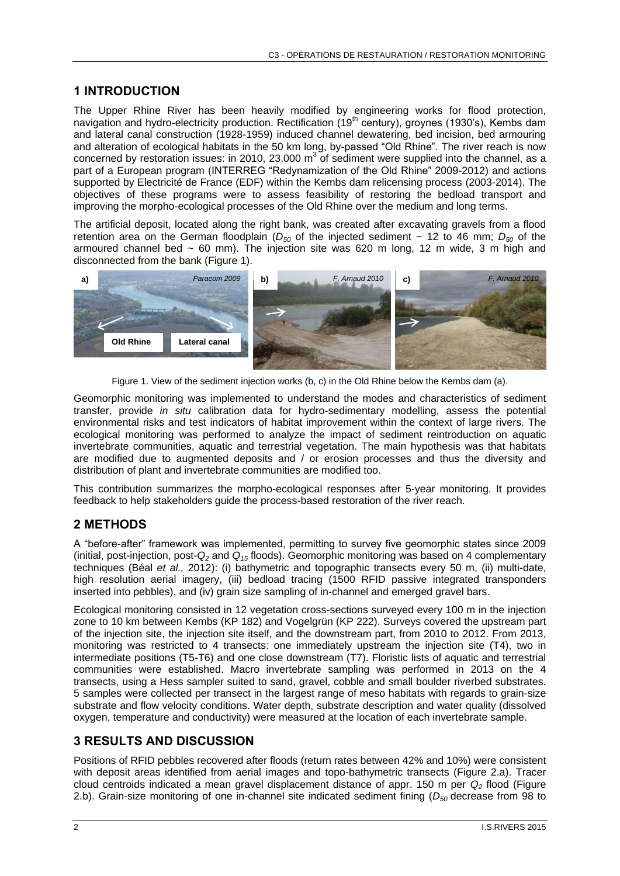#### **1 INTRODUCTION**

The Upper Rhine River has been heavily modified by engineering works for flood protection, navigation and hydro-electricity production. Rectification (19<sup>th</sup> century), groynes (1930's), Kembs dam and lateral canal construction (1928-1959) induced channel dewatering, bed incision, bed armouring and alteration of ecological habitats in the 50 km long, by-passed "Old Rhine". The river reach is now concerned by restoration issues: in 2010, 23.000  $m^3$  of sediment were supplied into the channel, as a part of a European program (INTERREG "Redynamization of the Old Rhine" 2009-2012) and actions supported by Electricité de France (EDF) within the Kembs dam relicensing process (2003-2014). The objectives of these programs were to assess feasibility of restoring the bedload transport and improving the morpho-ecological processes of the Old Rhine over the medium and long terms.

The artificial deposit, located along the right bank, was created after excavating gravels from a flood retention area on the German floodplain ( $D_{50}$  of the injected sediment ~ 12 to 46 mm;  $D_{50}$  of the armoured channel bed  $\sim$  60 mm). The injection site was 620 m long, 12 m wide, 3 m high and disconnected from the bank (Figure 1).



Figure 1. View of the sediment injection works (b, c) in the Old Rhine below the Kembs dam (a).

Geomorphic monitoring was implemented to understand the modes and characteristics of sediment transfer, provide *in situ* calibration data for hydro-sedimentary modelling, assess the potential environmental risks and test indicators of habitat improvement within the context of large rivers. The ecological monitoring was performed to analyze the impact of sediment reintroduction on aquatic invertebrate communities, aquatic and terrestrial vegetation. The main hypothesis was that habitats are modified due to augmented deposits and / or erosion processes and thus the diversity and distribution of plant and invertebrate communities are modified too.

This contribution summarizes the morpho-ecological responses after 5-year monitoring. It provides feedback to help stakeholders guide the process-based restoration of the river reach.

## **2 METHODS**

A "before-after" framework was implemented, permitting to survey five geomorphic states since 2009 (initial, post-injection, post-*Q<sup>2</sup>* and *Q<sup>15</sup>* floods). Geomorphic monitoring was based on 4 complementary techniques (Béal *et al.,* 2012): (i) bathymetric and topographic transects every 50 m, (ii) multi-date, high resolution aerial imagery, (iii) bedload tracing (1500 RFID passive integrated transponders inserted into pebbles), and (iv) grain size sampling of in-channel and emerged gravel bars.

Ecological monitoring consisted in 12 vegetation cross-sections surveyed every 100 m in the injection zone to 10 km between Kembs (KP 182) and Vogelgrün (KP 222). Surveys covered the upstream part of the injection site, the injection site itself, and the downstream part, from 2010 to 2012. From 2013, monitoring was restricted to 4 transects: one immediately upstream the injection site (T4), two in intermediate positions (T5-T6) and one close downstream (T7). Floristic lists of aquatic and terrestrial communities were established. Macro invertebrate sampling was performed in 2013 on the 4 transects, using a Hess sampler suited to sand, gravel, cobble and small boulder riverbed substrates. 5 samples were collected per transect in the largest range of meso habitats with regards to grain-size substrate and flow velocity conditions. Water depth, substrate description and water quality (dissolved oxygen, temperature and conductivity) were measured at the location of each invertebrate sample.

## **3 RESULTS AND DISCUSSION**

Positions of RFID pebbles recovered after floods (return rates between 42% and 10%) were consistent with deposit areas identified from aerial images and topo-bathymetric transects (Figure 2.a). Tracer cloud centroids indicated a mean gravel displacement distance of appr. 150 m per *Q<sup>2</sup>* flood (Figure 2.b). Grain-size monitoring of one in-channel site indicated sediment fining (*D<sup>50</sup>* decrease from 98 to